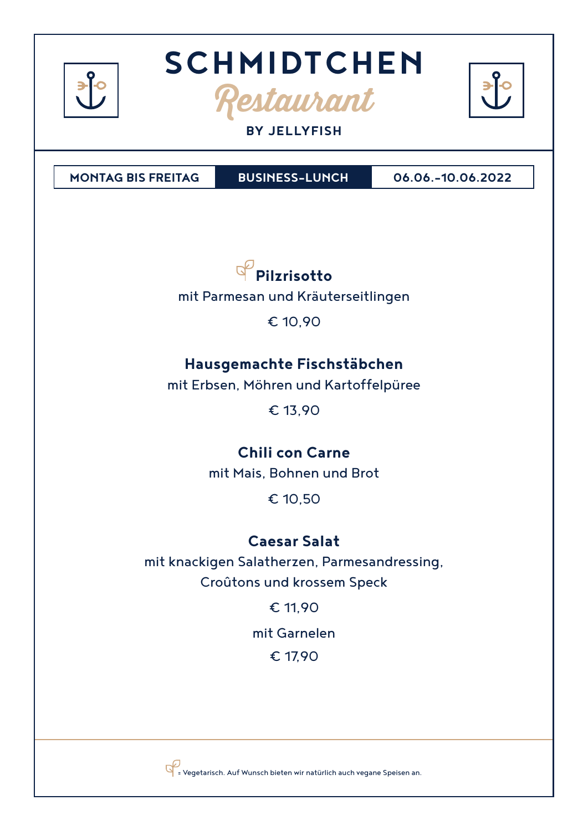

#### **BY JELLYFISH**

**MONTAG BIS FREITAG BUSINESS-LUNCH 06.06.-10.06.2022**



mit Parmesan und Kräuterseitlingen

€ 10,90

## **Hausgemachte Fischstäbchen**

mit Erbsen, Möhren und Kartoffelpüree

€ 13,90

## **Chili con Carne**

mit Mais, Bohnen und Brot

€ 10,50

## **Caesar Salat**

mit knackigen Salatherzen, Parmesandressing, Croûtons und krossem Speck

€ 11,90

mit Garnelen

€ 17,90



= Vegetarisch. Auf Wunsch bieten wir natürlich auch vegane Speisen an.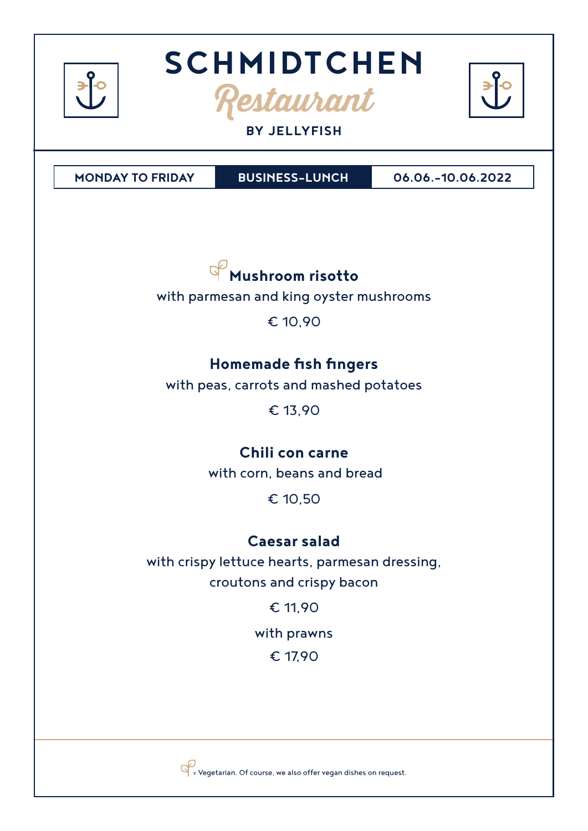

#### **BY JELLYFISH**

**MONDAY TO FRIDAY**

**BUSINESS-LUNCH 06.06.-10.06.2022**



with parmesan and king oyster mushrooms

€ 10,90

## **Homemade fish fingers**

with peas, carrots and mashed potatoes

€ 13,90

## **Chili con carne**

with corn, beans and bread

€ 10,50

## **Caesar salad**

with crispy lettuce hearts, parmesan dressing, croutons and crispy bacon

€ 11,90

with prawns

€ 17,90



 $\overline{\mathbb{S}}$  = Vegetarian. Of course, we also offer vegan dishes on request.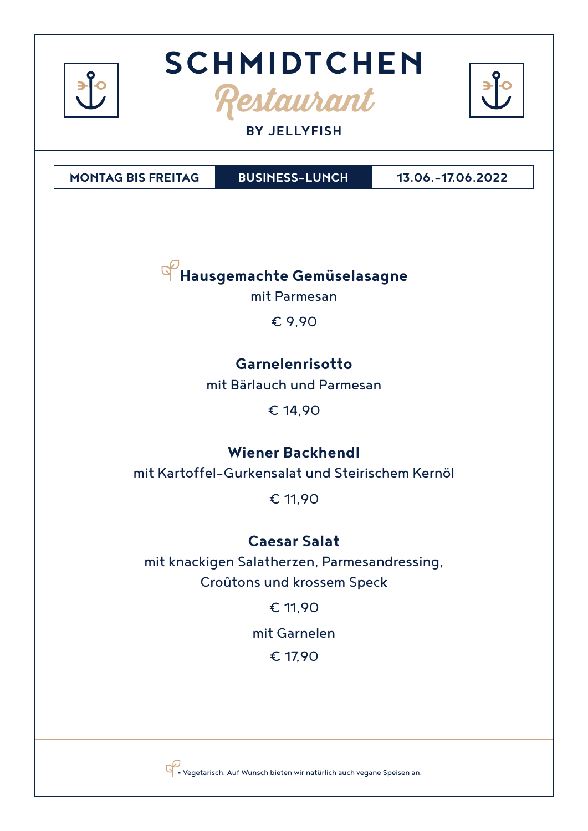

#### **BY JELLYFISH**

**MONTAG BIS FREITAG BUSINESS-LUNCH 13.06.-17.06.2022**

**Hausgemachte Gemüselasagne** 

mit Parmesan

€ 9,90

## **Garnelenrisotto**

mit Bärlauch und Parmesan

€ 14,90

## **Wiener Backhendl**

mit Kartoffel-Gurkensalat und Steirischem Kernöl

€ 11,90

### **Caesar Salat**

mit knackigen Salatherzen, Parmesandressing, Croûtons und krossem Speck

€ 11,90

mit Garnelen

€ 17,90



= Vegetarisch. Auf Wunsch bieten wir natürlich auch vegane Speisen an.